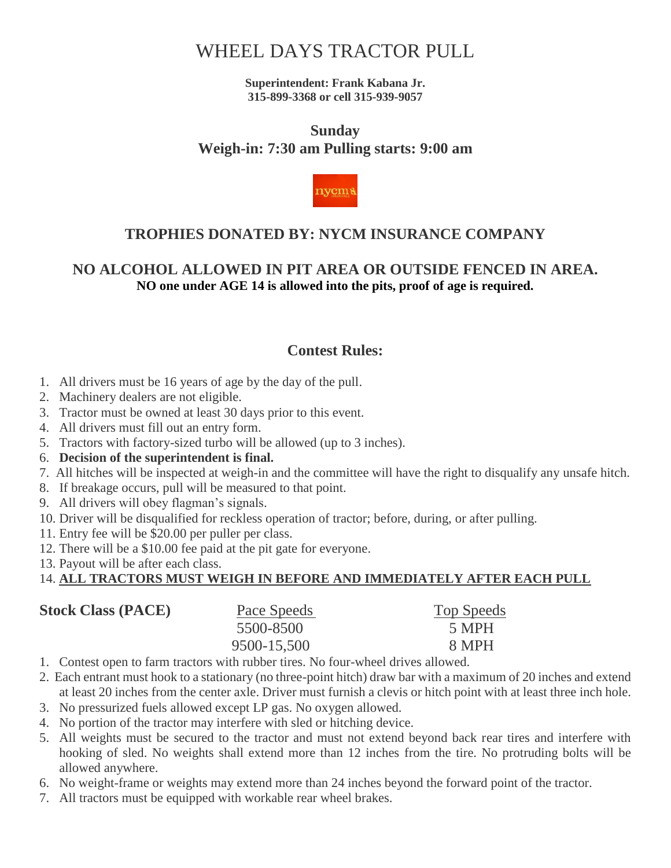# WHEEL DAYS [TRACTOR PULL](http://www.madisoncounty-fair.com/wheel_days.htm#MADISON COUNTY FAIR TRACTOR PULL#MADISON COUNTY FAIR TRACTOR PULL)

**Superintendent: Frank Kabana Jr. 315-899-3368 or cell 315-939-9057**

## **Sunday Weigh-in: 7:30 am Pulling starts: 9:00 am**



## **TROPHIES DONATED BY: NYCM INSURANCE COMPANY**

### **NO ALCOHOL ALLOWED IN PIT AREA OR OUTSIDE FENCED IN AREA. NO one under AGE 14 is allowed into the pits, proof of age is required.**

### **Contest Rules:**

- 1. All drivers must be 16 years of age by the day of the pull.
- 2. Machinery dealers are not eligible.
- 3. Tractor must be owned at least 30 days prior to this event.
- 4. All drivers must fill out an entry form.
- 5. Tractors with factory-sized turbo will be allowed (up to 3 inches).
- 6. **Decision of the superintendent is final.**
- 7. All hitches will be inspected at weigh-in and the committee will have the right to disqualify any unsafe hitch.
- 8. If breakage occurs, pull will be measured to that point.
- 9. All drivers will obey flagman's signals.
- 10. Driver will be disqualified for reckless operation of tractor; before, during, or after pulling.
- 11. Entry fee will be \$20.00 per puller per class.
- 12. There will be a \$10.00 fee paid at the pit gate for everyone.
- 13. Payout will be after each class.

#### 14. **ALL TRACTORS MUST WEIGH IN BEFORE AND IMMEDIATELY AFTER EACH PULL**

| <b>Stock Class (PACE)</b> | Pace Speeds | Top Speeds |
|---------------------------|-------------|------------|
|                           | 5500-8500   | 5 MPH      |
|                           | 9500-15,500 | 8 MPH      |

- 1. Contest open to farm tractors with rubber tires. No four-wheel drives allowed.
- 2. Each entrant must hook to a stationary (no three-point hitch) draw bar with a maximum of 20 inches and extend at least 20 inches from the center axle. Driver must furnish a clevis or hitch point with at least three inch hole.
- 3. No pressurized fuels allowed except LP gas. No oxygen allowed.
- 4. No portion of the tractor may interfere with sled or hitching device.
- 5. All weights must be secured to the tractor and must not extend beyond back rear tires and interfere with hooking of sled. No weights shall extend more than 12 inches from the tire. No protruding bolts will be allowed anywhere.
- 6. No weight-frame or weights may extend more than 24 inches beyond the forward point of the tractor.
- 7. All tractors must be equipped with workable rear wheel brakes.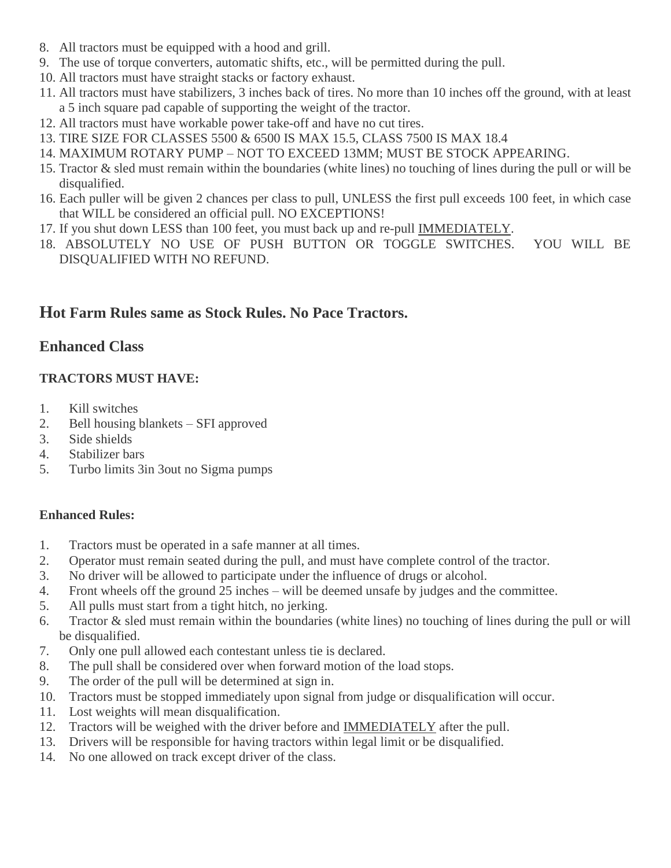- 8. All tractors must be equipped with a hood and grill.
- 9. The use of torque converters, automatic shifts, etc., will be permitted during the pull.
- 10. All tractors must have straight stacks or factory exhaust.
- 11. All tractors must have stabilizers, 3 inches back of tires. No more than 10 inches off the ground, with at least a 5 inch square pad capable of supporting the weight of the tractor.
- 12. All tractors must have workable power take-off and have no cut tires.
- 13. TIRE SIZE FOR CLASSES 5500 & 6500 IS MAX 15.5, CLASS 7500 IS MAX 18.4
- 14. MAXIMUM ROTARY PUMP NOT TO EXCEED 13MM; MUST BE STOCK APPEARING.
- 15. Tractor & sled must remain within the boundaries (white lines) no touching of lines during the pull or will be disqualified.
- 16. Each puller will be given 2 chances per class to pull, UNLESS the first pull exceeds 100 feet, in which case that WILL be considered an official pull. NO EXCEPTIONS!
- 17. If you shut down LESS than 100 feet, you must back up and re-pull IMMEDIATELY.
- 18. ABSOLUTELY NO USE OF PUSH BUTTON OR TOGGLE SWITCHES. YOU WILL BE DISQUALIFIED WITH NO REFUND.

## **Hot Farm Rules same as Stock Rules. No Pace Tractors.**

#### **Enhanced Class**

#### **TRACTORS MUST HAVE:**

- 1. Kill switches
- 2. Bell housing blankets SFI approved
- 3. Side shields
- 4. Stabilizer bars
- 5. Turbo limits 3in 3out no Sigma pumps

#### **Enhanced Rules:**

- 1. Tractors must be operated in a safe manner at all times.
- 2. Operator must remain seated during the pull, and must have complete control of the tractor.
- 3. No driver will be allowed to participate under the influence of drugs or alcohol.
- 4. Front wheels off the ground 25 inches will be deemed unsafe by judges and the committee.
- 5. All pulls must start from a tight hitch, no jerking.
- 6. Tractor & sled must remain within the boundaries (white lines) no touching of lines during the pull or will be disqualified.
- 7. Only one pull allowed each contestant unless tie is declared.
- 8. The pull shall be considered over when forward motion of the load stops.
- 9. The order of the pull will be determined at sign in.
- 10. Tractors must be stopped immediately upon signal from judge or disqualification will occur.
- 11. Lost weights will mean disqualification.
- 12. Tractors will be weighed with the driver before and IMMEDIATELY after the pull.
- 13. Drivers will be responsible for having tractors within legal limit or be disqualified.
- 14. No one allowed on track except driver of the class.